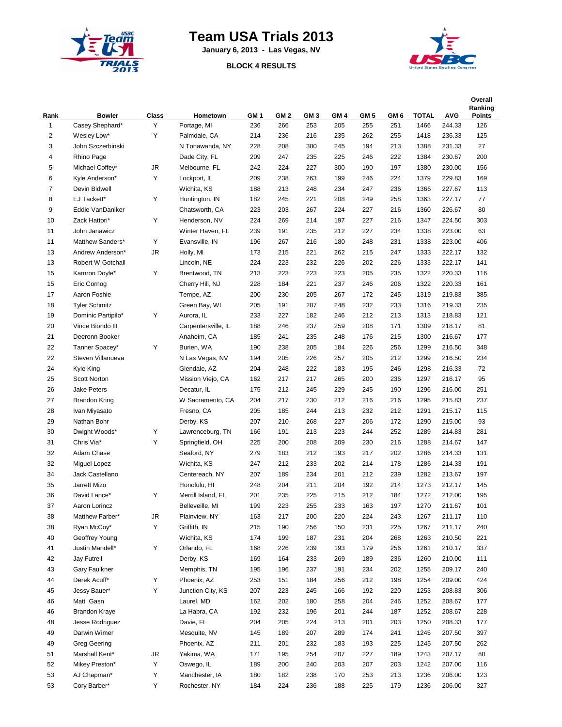

## **Team USA Trials 2013**

**January 6, 2013 - Las Vegas, NV**

## **BLOCK 4 RESULTS**



|                         |                               |       |                     |                 |                 |                 |                 |                 |                 |              |            | Overall<br>Ranking |
|-------------------------|-------------------------------|-------|---------------------|-----------------|-----------------|-----------------|-----------------|-----------------|-----------------|--------------|------------|--------------------|
| Rank                    | <b>Bowler</b>                 | Class | Hometown            | GM <sub>1</sub> | GM <sub>2</sub> | GM <sub>3</sub> | GM <sub>4</sub> | GM <sub>5</sub> | GM <sub>6</sub> | <b>TOTAL</b> | <b>AVG</b> | <b>Points</b>      |
| $\mathbf{1}$            | Casey Shephard*               | Υ     | Portage, MI         | 236             | 266             | 253             | 205             | 255             | 251             | 1466         | 244.33     | 126                |
| $\overline{\mathbf{c}}$ | Wesley Low*                   | Υ     | Palmdale, CA        | 214             | 236             | 216             | 235             | 262             | 255             | 1418         | 236.33     | 125                |
| 3                       | John Szczerbinski             |       | N Tonawanda, NY     | 228             | 208             | 300             | 245             | 194             | 213             | 1388         | 231.33     | 27                 |
| 4                       | Rhino Page                    |       | Dade City, FL       | 209             | 247             | 235             | 225             | 246             | 222             | 1384         | 230.67     | 200                |
| 5                       | Michael Coffey*               | JR    | Melbourne, FL       | 242             | 224             | 227             | 300             | 190             | 197             | 1380         | 230.00     | 156                |
| 6                       | Kyle Anderson*                | Υ     | Lockport, IL        | 209             | 238             | 263             | 199             | 246             | 224             | 1379         | 229.83     | 169                |
| $\overline{7}$          | Devin Bidwell                 |       | Wichita, KS         | 188             | 213             | 248             | 234             | 247             | 236             | 1366         | 227.67     | 113                |
| 8                       | EJ Tackett*                   | Υ     | Huntington, IN      | 182             | 245             | 221             | 208             | 249             | 258             | 1363         | 227.17     | 77                 |
| 9                       | Eddie VanDaniker              |       | Chatsworth, CA      | 223             | 203             | 267             | 224             | 227             | 216             | 1360         | 226.67     | 80                 |
| 10                      | Zack Hattori*                 | Υ     | Henderson, NV       | 224             | 269             | 214             | 197             | 227             | 216             | 1347         | 224.50     | 303                |
| 11                      | John Janawicz                 |       | Winter Haven, FL    | 239             | 191             | 235             | 212             | 227             | 234             | 1338         | 223.00     | 63                 |
| 11                      | Matthew Sanders*              | Υ     | Evansville, IN      | 196             | 267             | 216             | 180             | 248             | 231             | 1338         | 223.00     | 406                |
| 13                      | Andrew Anderson*              | JR    | Holly, MI           | 173             | 215             | 221             | 262             | 215             | 247             | 1333         | 222.17     | 132                |
| 13                      | Robert W Gotchall             |       | Lincoln, NE         | 224             | 223             | 232             | 226             | 202             | 226             | 1333         | 222.17     | 141                |
| 15                      | Kamron Doyle*                 | Υ     | Brentwood, TN       | 213             | 223             | 223             | 223             | 205             | 235             | 1322         | 220.33     | 116                |
| 15                      | Eric Cornog                   |       | Cherry Hill, NJ     | 228             | 184             | 221             | 237             | 246             | 206             | 1322         | 220.33     | 161                |
| 17                      | Aaron Foshie                  |       | Tempe, AZ           | 200             | 230             | 205             | 267             | 172             | 245             | 1319         | 219.83     | 385                |
| 18                      | <b>Tyler Schmitz</b>          |       | Green Bay, WI       | 205             | 191             | 207             | 248             | 232             | 233             | 1316         | 219.33     | 235                |
| 19                      | Dominic Partipilo*            | Υ     | Aurora, IL          | 233             | 227             | 182             | 246             | 212             | 213             | 1313         | 218.83     | 121                |
| 20                      | Vince Biondo III              |       | Carpentersville, IL | 188             | 246             | 237             | 259             | 208             | 171             | 1309         | 218.17     | 81                 |
| 21                      | Deeronn Booker                |       | Anaheim, CA         | 185             | 241             | 235             | 248             | 176             | 215             | 1300         | 216.67     | 177                |
| 22                      | Tanner Spacey*                | Υ     | Burien, WA          | 190             | 238             | 205             | 184             | 226             | 256             | 1299         | 216.50     | 348                |
| 22                      | Steven Villanueva             |       | N Las Vegas, NV     | 194             | 205             | 226             | 257             | 205             | 212             | 1299         | 216.50     | 234                |
| 24                      | Kyle King                     |       | Glendale, AZ        | 204             | 248             | 222             | 183             | 195             | 246             | 1298         | 216.33     | 72                 |
| 25                      | Scott Norton                  |       | Mission Viejo, CA   | 162             | 217             | 217             | 265             | 200             | 236             | 1297         | 216.17     | 95                 |
| 26                      | Jake Peters                   |       | Decatur, IL         | 175             | 212             | 245             | 229             | 245             | 190             | 1296         | 216.00     | 251                |
| 27                      | <b>Brandon Kring</b>          |       | W Sacramento, CA    | 204             | 217             | 230             | 212             | 216             | 216             | 1295         | 215.83     | 237                |
| 28                      | Ivan Miyasato                 |       | Fresno, CA          | 205             | 185             | 244             | 213             | 232             | 212             | 1291         | 215.17     | 115                |
| 29                      | Nathan Bohr                   |       | Derby, KS           | 207             | 210             | 268             | 227             | 206             | 172             | 1290         | 215.00     | 93                 |
| 30                      | Dwight Woods*                 | Υ     | Lawrenceburg, TN    | 166             | 191             | 213             | 223             | 244             | 252             | 1289         | 214.83     | 281                |
| 31                      | Chris Via*                    | Υ     | Springfield, OH     | 225             | 200             | 208             | 209             | 230             | 216             | 1288         | 214.67     | 147                |
| 32                      | Adam Chase                    |       | Seaford, NY         | 279             | 183             | 212             | 193             | 217             | 202             | 1286         | 214.33     | 131                |
| 32                      | Miguel Lopez                  |       | Wichita, KS         | 247             | 212             | 233             | 202             | 214             | 178             | 1286         | 214.33     | 191                |
| 34                      | Jack Castellano               |       | Centereach, NY      | 207             | 189             | 234             | 201             | 212             | 239             | 1282         | 213.67     | 197                |
| 35                      | Jarrett Mizo                  |       | Honolulu, HI        | 248             | 204             | 211             | 204             | 192             | 214             | 1273         | 212.17     | 145                |
| 36                      | David Lance*                  | Υ     | Merrill Island, FL  | 201             | 235             | 225             | 215             | 212             | 184             | 1272         | 212.00     | 195                |
| 37                      | Aaron Lorincz                 |       | Belleveille, MI     | 199             | 223             | 255             | 233             | 163             | 197             | 1270         | 211.67     | 101                |
| 38                      | Matthew Farber*               | JR    | Plainview, NY       | 163             | 217             | 200             | 220             | 224             | 243             | 1267         | 211.17     | 110                |
| 38                      | Ryan McCoy*                   | Υ     | Griffith, IN        | 215             | 190             | 256             | 150             | 231             | 225             | 1267         | 211.17     | 240                |
| 40                      | Geoffrey Young                |       | Wichita, KS         | 174             | 199             | 187             | 231             | 204             | 268             | 1263         | 210.50     | 221                |
| 41                      | Justin Mandell*               | Υ     | Orlando, FL         | 168             | 226             | 239             | 193             | 179             | 256             | 1261         | 210.17     | 337                |
| 42                      |                               |       | Derby, KS           |                 |                 |                 |                 |                 |                 |              | 210.00     |                    |
| 43                      | Jay Futrell                   |       | Memphis, TN         | 169             | 164             | 233             | 269             | 189             | 236             | 1260         |            | 111                |
|                         | Gary Faulkner<br>Derek Acuff* | Υ     | Phoenix, AZ         | 195             | 196             | 237             | 191             | 234             | 202             | 1255         | 209.17     | 240                |
| 44                      |                               | Υ     |                     | 253             | 151             | 184             | 256             | 212             | 198             | 1254         | 209.00     | 424                |
| 45                      | Jessy Bauer*                  |       | Junction City, KS   | 207             | 223             | 245             | 166             | 192             | 220             | 1253         | 208.83     | 306                |
| 46                      | Matt Gasn                     |       | Laurel, MD          | 162             | 202             | 180             | 258             | 204             | 246             | 1252         | 208.67     | 177                |
| 46                      | <b>Brandon Kraye</b>          |       | La Habra, CA        | 192             | 232             | 196             | 201             | 244             | 187             | 1252         | 208.67     | 228                |
| 48                      | Jesse Rodriguez               |       | Davie, FL           | 204             | 205             | 224             | 213             | 201             | 203             | 1250         | 208.33     | 177                |
| 49                      | Darwin Wimer                  |       | Mesquite, NV        | 145             | 189             | 207             | 289             | 174             | 241             | 1245         | 207.50     | 397                |
| 49                      | <b>Greg Geering</b>           |       | Phoenix, AZ         | 211             | 201             | 232             | 183             | 193             | 225             | 1245         | 207.50     | 262                |
| 51                      | Marshall Kent*                | JR    | Yakima, WA          | 171             | 195             | 254             | 207             | 227             | 189             | 1243         | 207.17     | 80                 |
| 52                      | Mikey Preston*                | Υ     | Oswego, IL          | 189             | 200             | 240             | 203             | 207             | 203             | 1242         | 207.00     | 116                |
| 53                      | AJ Chapman*                   | Υ     | Manchester, IA      | 180             | 182             | 238             | 170             | 253             | 213             | 1236         | 206.00     | 123                |
| 53                      | Cory Barber*                  | Υ     | Rochester, NY       | 184             | 224             | 236             | 188             | 225             | 179             | 1236         | 206.00     | 327                |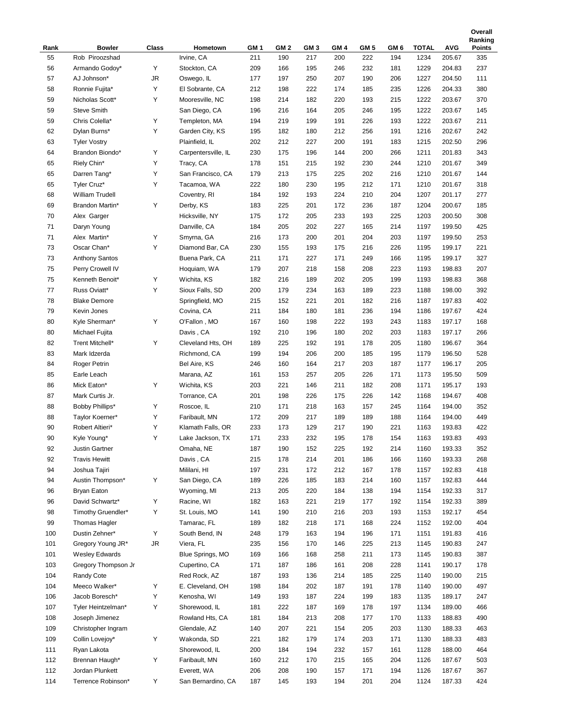|      |                       |       |                     |                 |                 |                 |                 |                 |                 |              |            | Ranking       |
|------|-----------------------|-------|---------------------|-----------------|-----------------|-----------------|-----------------|-----------------|-----------------|--------------|------------|---------------|
| Rank | <b>Bowler</b>         | Class | Hometown            | GM <sub>1</sub> | GM <sub>2</sub> | GM <sub>3</sub> | GM <sub>4</sub> | GM <sub>5</sub> | GM <sub>6</sub> | <b>TOTAL</b> | <b>AVG</b> | <b>Points</b> |
| 55   | Rob Piroozshad        |       | Irvine, CA          | 211             | 190             | 217             | 200             | 222             | 194             | 1234         | 205.67     | 335           |
| 56   | Armando Godov*        | Υ     | Stockton, CA        | 209             | 166             | 195             | 246             | 232             | 181             | 1229         | 204.83     | 237           |
| 57   | AJ Johnson*           | JR    | Oswego, IL          | 177             | 197             | 250             | 207             | 190             | 206             | 1227         | 204.50     | 111           |
| 58   | Ronnie Fujita*        | Υ     | El Sobrante, CA     | 212             | 198             | 222             | 174             | 185             | 235             | 1226         | 204.33     | 380           |
| 59   | Nicholas Scott*       | Υ     | Mooresville, NC     | 198             | 214             | 182             | 220             | 193             | 215             | 1222         | 203.67     | 370           |
| 59   | <b>Steve Smith</b>    |       | San Diego, CA       | 196             | 216             | 164             | 205             | 246             | 195             | 1222         | 203.67     | 145           |
| 59   | Chris Colella*        | Υ     | Templeton, MA       | 194             | 219             | 199             | 191             | 226             | 193             | 1222         | 203.67     | 211           |
| 62   | Dylan Burns*          | Υ     | Garden City, KS     | 195             | 182             | 180             | 212             | 256             | 191             | 1216         | 202.67     | 242           |
| 63   | <b>Tyler Vostry</b>   |       | Plainfield, IL      | 202             | 212             | 227             | 200             | 191             | 183             | 1215         | 202.50     | 296           |
| 64   | Brandon Biondo*       | Υ     | Carpentersville, IL | 230             | 175             | 196             | 144             | 200             | 266             | 1211         | 201.83     | 343           |
| 65   | Riely Chin*           | Υ     | Tracy, CA           | 178             | 151             | 215             | 192             | 230             | 244             | 1210         | 201.67     | 349           |
| 65   | Darren Tang*          | Υ     | San Francisco, CA   | 179             | 213             | 175             | 225             | 202             | 216             | 1210         | 201.67     | 144           |
| 65   | Tyler Cruz*           | Υ     | Tacamoa, WA         | 222             | 180             | 230             | 195             | 212             | 171             | 1210         | 201.67     | 318           |
| 68   | William Trudell       |       | Coventry, RI        | 184             | 192             | 193             | 224             | 210             | 204             | 1207         | 201.17     | 277           |
| 69   | Brandon Martin*       | Υ     | Derby, KS           | 183             | 225             | 201             | 172             | 236             | 187             | 1204         | 200.67     | 185           |
| 70   | Alex Garger           |       | Hicksville, NY      | 175             | 172             | 205             | 233             | 193             | 225             | 1203         | 200.50     | 308           |
| 71   | Daryn Young           |       | Danville, CA        | 184             | 205             | 202             | 227             | 165             | 214             | 1197         | 199.50     | 425           |
| 71   | Alex Martin*          | Υ     | Smyrna, GA          | 216             | 173             | 200             | 201             | 204             | 203             | 1197         | 199.50     | 253           |
| 73   | Oscar Chan*           | Υ     | Diamond Bar, CA     | 230             | 155             | 193             | 175             | 216             | 226             | 1195         | 199.17     | 221           |
| 73   | <b>Anthony Santos</b> |       | Buena Park, CA      | 211             | 171             | 227             | 171             | 249             | 166             | 1195         | 199.17     | 327           |
| 75   | Perry Crowell IV      |       | Hoquiam, WA         | 179             | 207             | 218             | 158             | 208             | 223             | 1193         | 198.83     | 207           |
| 75   | Kenneth Benoit*       | Υ     | Wichita, KS         | 182             | 216             | 189             | 202             | 205             | 199             | 1193         | 198.83     | 368           |
| 77   | Russ Oviatt*          | Υ     | Sioux Falls, SD     | 200             | 179             | 234             | 163             | 189             | 223             | 1188         | 198.00     | 392           |
|      |                       |       |                     |                 |                 |                 |                 |                 |                 |              |            |               |
| 78   | <b>Blake Demore</b>   |       | Springfield, MO     | 215             | 152             | 221             | 201             | 182             | 216             | 1187         | 197.83     | 402           |
| 79   | Kevin Jones           |       | Covina, CA          | 211             | 184             | 180             | 181             | 236             | 194             | 1186         | 197.67     | 424           |
| 80   | Kyle Sherman*         | Υ     | O'Fallon, MO        | 167             | 160             | 198             | 222             | 193             | 243             | 1183         | 197.17     | 168           |
| 80   | Michael Fujita        |       | Davis, CA           | 192             | 210             | 196             | 180             | 202             | 203             | 1183         | 197.17     | 266           |
| 82   | Trent Mitchell*       | Υ     | Cleveland Hts, OH   | 189             | 225             | 192             | 191             | 178             | 205             | 1180         | 196.67     | 364           |
| 83   | Mark Idzerda          |       | Richmond, CA        | 199             | 194             | 206             | 200             | 185             | 195             | 1179         | 196.50     | 528           |
| 84   | Roger Petrin          |       | Bel Aire, KS        | 246             | 160             | 164             | 217             | 203             | 187             | 1177         | 196.17     | 205           |
| 85   | Earle Leach           |       | Marana, AZ          | 161             | 153             | 257             | 205             | 226             | 171             | 1173         | 195.50     | 509           |
| 86   | Mick Eaton*           | Υ     | Wichita, KS         | 203             | 221             | 146             | 211             | 182             | 208             | 1171         | 195.17     | 193           |
| 87   | Mark Curtis Jr.       |       | Torrance, CA        | 201             | 198             | 226             | 175             | 226             | 142             | 1168         | 194.67     | 408           |
| 88   | Bobby Phillips*       | Υ     | Roscoe, IL          | 210             | 171             | 218             | 163             | 157             | 245             | 1164         | 194.00     | 352           |
| 88   | Taylor Koerner*       | Υ     | Faribault, MN       | 172             | 209             | 217             | 189             | 189             | 188             | 1164         | 194.00     | 449           |
| 90   | Robert Altieri*       | Υ     | Klamath Falls, OR   | 233             | 173             | 129             | 217             | 190             | 221             | 1163         | 193.83     | 422           |
| 90   | Kyle Young*           | Υ     | Lake Jackson, TX    | 171             | 233             | 232             | 195             | 178             | 154             | 1163         | 193.83     | 493           |
| 92   | Justin Gartner        |       | Omaha, NE           | 187             | 190             | 152             | 225             | 192             | 214             | 1160         | 193.33     | 352           |
| 92   | <b>Travis Hewitt</b>  |       | Davis, CA           | 215             | 178             | 214             | 201             | 186             | 166             | 1160         | 193.33     | 268           |
| 94   | Joshua Tajiri         |       | Mililani, HI        | 197             | 231             | 172             | 212             | 167             | 178             | 1157         | 192.83     | 418           |
| 94   | Austin Thompson*      | Υ     | San Diego, CA       | 189             | 226             | 185             | 183             | 214             | 160             | 1157         | 192.83     | 444           |
| 96   | Bryan Eaton           |       | Wyoming, MI         | 213             | 205             | 220             | 184             | 138             | 194             | 1154         | 192.33     | 317           |
| 96   | David Schwartz*       | Υ     | Racine, WI          | 182             | 163             | 221             | 219             | 177             | 192             | 1154         | 192.33     | 389           |
| 98   | Timothy Gruendler*    | Y     | St. Louis, MO       | 141             | 190             | 210             | 216             | 203             | 193             | 1153         | 192.17     | 454           |
| 99   | <b>Thomas Hagler</b>  |       | Tamarac, FL         | 189             | 182             | 218             | 171             | 168             | 224             | 1152         | 192.00     | 404           |
| 100  | Dustin Zehner*        | Υ     | South Bend, IN      | 248             | 179             | 163             | 194             | 196             | 171             | 1151         | 191.83     | 416           |
| 101  | Gregory Young JR*     | JR    | Viera, FL           | 235             | 156             | 170             | 146             | 225             | 213             | 1145         | 190.83     | 247           |
| 101  | <b>Wesley Edwards</b> |       | Blue Springs, MO    | 169             | 166             | 168             | 258             | 211             | 173             | 1145         | 190.83     | 387           |
| 103  | Gregory Thompson Jr   |       | Cupertino, CA       | 171             | 187             | 186             | 161             | 208             | 228             | 1141         | 190.17     | 178           |
| 104  | Randy Cote            |       | Red Rock, AZ        | 187             | 193             | 136             | 214             | 185             | 225             | 1140         | 190.00     | 215           |
| 104  | Meeco Walker*         | Υ     | E. Cleveland, OH    | 198             | 184             | 202             | 187             | 191             | 178             | 1140         | 190.00     | 497           |
| 106  | Jacob Boresch*        | Υ     | Kenosha, WI         | 149             | 193             | 187             | 224             | 199             | 183             | 1135         | 189.17     | 247           |
| 107  | Tyler Heintzelman*    | Y     | Shorewood, IL       | 181             | 222             | 187             | 169             | 178             | 197             | 1134         | 189.00     | 466           |
| 108  | Joseph Jimenez        |       | Rowland Hts, CA     | 181             | 184             | 213             | 208             | 177             | 170             | 1133         | 188.83     | 490           |
| 109  |                       |       |                     |                 |                 |                 |                 |                 |                 |              |            |               |
|      | Christopher Ingram    |       | Glendale, AZ        | 140             | 207             | 221             | 154             | 205             | 203             | 1130         | 188.33     | 463           |
| 109  | Collin Lovejoy*       | Υ     | Wakonda, SD         | 221             | 182             | 179             | 174             | 203             | 171             | 1130         | 188.33     | 483           |
| 111  | Ryan Lakota           |       | Shorewood, IL       | 200             | 184             | 194             | 232             | 157             | 161             | 1128         | 188.00     | 464           |
| 112  | Brennan Haugh*        | Υ     | Faribault, MN       | 160             | 212             | 170             | 215             | 165             | 204             | 1126         | 187.67     | 503           |
| 112  | Jordan Plunkett       |       | Everett, WA         | 206             | 208             | 190             | 157             | 171             | 194             | 1126         | 187.67     | 367           |
| 114  | Terrence Robinson*    | Υ     | San Bernardino, CA  | 187             | 145             | 193             | 194             | 201             | 204             | 1124         | 187.33     | 424           |

**Overall**